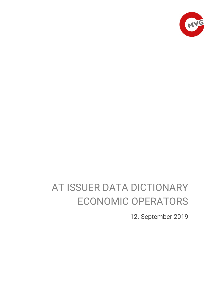

# AT ISSUER DATA DICTIONARY ECONOMIC OPERATORS

12. September 2019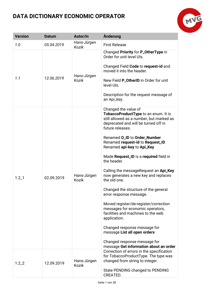

| <b>Version</b> | <b>Datum</b> | Autor/in                    | Änderung                                                                                                                                                                                                                                                                                                                                                                                                                                                                                                                                                                                                                                                                                                                                                                         |
|----------------|--------------|-----------------------------|----------------------------------------------------------------------------------------------------------------------------------------------------------------------------------------------------------------------------------------------------------------------------------------------------------------------------------------------------------------------------------------------------------------------------------------------------------------------------------------------------------------------------------------------------------------------------------------------------------------------------------------------------------------------------------------------------------------------------------------------------------------------------------|
| 1.0            | 05.04.2019   | Hans-Jürgen<br>Kozik        | <b>First Release</b>                                                                                                                                                                                                                                                                                                                                                                                                                                                                                                                                                                                                                                                                                                                                                             |
| 1.1            | 12.06.2019   | Hans-Jürgen<br>Kozik        | Changed Priority for P_OtherType in<br>Order for unit level UIs.<br>Changed Field Code to request-id and<br>moved it into the header.<br>New Field P_OtherID in Order for unit<br>level UIs.<br>Description for the request message of<br>an Api_key.                                                                                                                                                                                                                                                                                                                                                                                                                                                                                                                            |
| $1.2 - 1$      | 02.09.2019   | Hans-Jürgen<br>Kozik        | Changed the value of<br>TobaccoProductType to an enum. It is<br>still allowed as a number, but marked as<br>deprecated and will be turned off in<br>future releases.<br>Renamed O_ID to Order_Number<br>Renamed request-id to Request_ID<br>Renamed api-key to Api_Key<br>Made Request_ID is a required field in<br>the header.<br>Calling the messageRequest an Api_Key<br>now generates a new key and replaces<br>the old one.<br>Changed the structure of the general<br>error response message.<br>Moved register/de-register/correction<br>messages for economic operators,<br>facilities and machines to the web<br>application.<br>Changed response message for<br>message List all open orders<br>Changed response message for<br>message Get information about an order |
| $1.2 - 2$      | 12.09.2019   | Hans-Jürgen<br><b>Kozik</b> | Correction of errors in the specification<br>for TobaccoProductType. The type was<br>changed from string to integer.<br>State PENDING changed to PENDING<br>CREATED.                                                                                                                                                                                                                                                                                                                                                                                                                                                                                                                                                                                                             |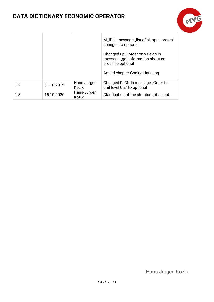

|     |            |                             | M_ID in message "list of all open orders"<br>changed to optional<br>Changed upui order only fields in<br>message "get information about an<br>order" to optional<br>Added chapter Cookie Handling. |
|-----|------------|-----------------------------|----------------------------------------------------------------------------------------------------------------------------------------------------------------------------------------------------|
| 1.2 | 01.10.2019 | Hans-Jürgen<br>Kozik        | Changed P_CN in message "Order for<br>unit level UIs" to optional                                                                                                                                  |
| 1.3 | 15.10.2020 | Hans-Jürgen<br><b>Kozik</b> | Clarification of the structure of an upUI                                                                                                                                                          |

Hans-Jürgen Kozik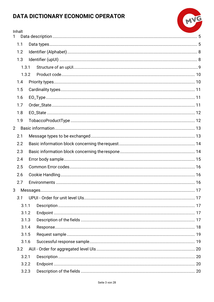Inhalt

 $\mathbf{1}$ 

| alt | TA DICTIONARY ECONOMIC OPERATOR | MVG |
|-----|---------------------------------|-----|
|     |                                 |     |
|     |                                 |     |
|     |                                 |     |
|     |                                 |     |
|     |                                 |     |

|             | 1.1   |  |  |
|-------------|-------|--|--|
|             | 1.2   |  |  |
|             | 1.3   |  |  |
|             | 1.3.1 |  |  |
|             | 1.3.2 |  |  |
|             | 1.4   |  |  |
|             | 1.5   |  |  |
|             | 1.6   |  |  |
|             | 1.7   |  |  |
|             | 1.8   |  |  |
|             | 1.9   |  |  |
| $2^{\circ}$ |       |  |  |
| 2.1         |       |  |  |
|             | 2.2   |  |  |
|             | 2.3   |  |  |
|             | 2.4   |  |  |
|             | 2.5   |  |  |
|             | 2.6   |  |  |
|             | 2.7   |  |  |
| 3           |       |  |  |
|             | 3.1   |  |  |
|             | 3.1.1 |  |  |
|             | 3.1.2 |  |  |
|             | 3.1.3 |  |  |
|             | 3.1.4 |  |  |
|             | 3.1.5 |  |  |
|             | 3.1.6 |  |  |
|             | 3.2   |  |  |
|             | 3.2.1 |  |  |
|             | 3.2.2 |  |  |
|             | 3.2.3 |  |  |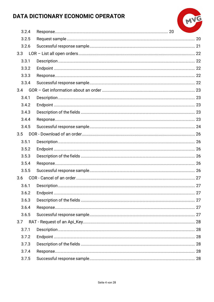

| 3.2.4 |  |  |
|-------|--|--|
| 3.2.5 |  |  |
| 3.2.6 |  |  |
| 3.3   |  |  |
| 3.3.1 |  |  |
| 3.3.2 |  |  |
| 3.3.3 |  |  |
| 3.3.4 |  |  |
| 3.4   |  |  |
| 3.4.1 |  |  |
| 3.4.2 |  |  |
| 3.4.3 |  |  |
| 3.4.4 |  |  |
| 3.4.5 |  |  |
| 3.5   |  |  |
| 3.5.1 |  |  |
| 3.5.2 |  |  |
| 3.5.3 |  |  |
| 3.5.4 |  |  |
| 3.5.5 |  |  |
| 3.6   |  |  |
| 3.6.1 |  |  |
| 3.6.2 |  |  |
| 3.6.3 |  |  |
| 3.6.4 |  |  |
| 3.6.5 |  |  |
| 3.7   |  |  |
| 3.7.1 |  |  |
| 3.7.2 |  |  |
| 3.7.3 |  |  |
| 3.7.4 |  |  |
| 3.7.5 |  |  |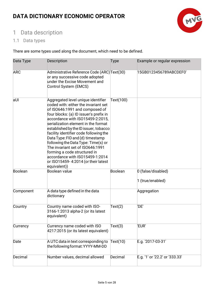

# <span id="page-5-0"></span>1 Data description

### <span id="page-5-1"></span>1.1 Data types

There are some types used along the document, which need to be defined.

| Data Type  | <b>Description</b>                                                                                                                                                                                                                                                                                                                                                                                                                                                                                                                                            | <b>Type</b> | Example or regular expression          |
|------------|---------------------------------------------------------------------------------------------------------------------------------------------------------------------------------------------------------------------------------------------------------------------------------------------------------------------------------------------------------------------------------------------------------------------------------------------------------------------------------------------------------------------------------------------------------------|-------------|----------------------------------------|
| <b>ARC</b> | Administrative Reference Code (ARC) Text(30)<br>or any successive code adopted<br>under the Excise Movement and<br>Control System (EMCS)                                                                                                                                                                                                                                                                                                                                                                                                                      |             | 15GB0123456789ABCDEF0'                 |
| aUI        | Aggregated level unique identifier<br>coded with: either the invariant set<br>of ISO646:1991 and composed of<br>four blocks: (a) ID issuer's prefix in<br>accordance with ISO15459-2:2015,<br>serialization element in the format<br>established by the ID issuer, tobacco<br>facility identifier code following the<br>Data Type: FID and (d) timestamp<br>following the Data Type: Time(s) or<br>The invariant set of ISO646:1991<br>forming a code structured in<br>accordance with ISO15459-1:2014<br>or ISO15459-4:2014 (or their latest<br>equivalent)) | Text(100)   |                                        |
| Boolean    | Boolean value                                                                                                                                                                                                                                                                                                                                                                                                                                                                                                                                                 | Boolean     | 0 (false/disabled)<br>1 (true/enabled) |
| Component  | A data type defined in the data<br>dictionary                                                                                                                                                                                                                                                                                                                                                                                                                                                                                                                 |             | Aggregation                            |
| Country    | Country name coded with ISO-<br>3166-1:2013 alpha-2 (or its latest<br>equivalent)                                                                                                                                                                                                                                                                                                                                                                                                                                                                             | Text(2)     | 'DE'                                   |
| Currency   | Currency name coded with ISO<br>4217:2015 (or its latest equivalent)                                                                                                                                                                                                                                                                                                                                                                                                                                                                                          | Text(3)     | 'EUR'                                  |
| Date       | A UTC data in text corresponding to<br>the following format: YYYY-MM-DD                                                                                                                                                                                                                                                                                                                                                                                                                                                                                       | Text(10)    | E.g. '2017-03-31'                      |
| Decimal    | Number values, decimal allowed                                                                                                                                                                                                                                                                                                                                                                                                                                                                                                                                | Decimal     | E.g. '1' or '22.2' or '333.33'         |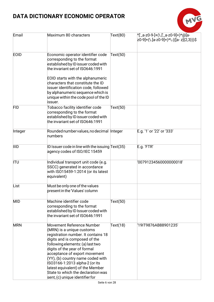

| Email       | Maximum 80 characters                                                                                                                                                                                                                                                                                                                                                                                                   | Text(80) | ^['_a-z0-9-]+(\.['_a-z0-9]+)*@[a-<br>z0-9]+(\.[a-z0-9]+)*\.(([a-z]{2,3}))\$ |
|-------------|-------------------------------------------------------------------------------------------------------------------------------------------------------------------------------------------------------------------------------------------------------------------------------------------------------------------------------------------------------------------------------------------------------------------------|----------|-----------------------------------------------------------------------------|
| <b>EOID</b> | Economic operator identifier code<br>corresponding to the format<br>established by ID issuer coded with<br>the invariant set of ISO646:1991<br>EOID starts with the alphanumeric<br>characters that constitute the ID<br>issuer identification code, followed<br>by alphanumeric sequence which is<br>unique within the code pool of the ID                                                                             | Text(50) |                                                                             |
|             | issuer.                                                                                                                                                                                                                                                                                                                                                                                                                 |          |                                                                             |
| <b>FID</b>  | Tobacco facility identifier code<br>corresponding to the format<br>established by ID issuer coded with<br>the invariant set of ISO646:1991                                                                                                                                                                                                                                                                              | Text(50) |                                                                             |
| Integer     | Rounded number values, no decimal Integer<br>numbers                                                                                                                                                                                                                                                                                                                                                                    |          | E.g. '1' or '22' or '333'                                                   |
| <b>IIID</b> | ID Issuer code in line with the issuing Text(35)<br>agency codes of ISO/IEC 15459                                                                                                                                                                                                                                                                                                                                       |          | E.g. 'FTR'                                                                  |
| <b>ITU</b>  | Individual transport unit code (e.g.<br>SSCC) generated in accordance<br>with ISO15459-1:2014 (or its latest<br>equivalent)                                                                                                                                                                                                                                                                                             |          | '00791234560000000018'                                                      |
| List        | Must be only one of the values<br>present in the 'Values' column                                                                                                                                                                                                                                                                                                                                                        |          |                                                                             |
| <b>MID</b>  | Machine identifier code<br>corresponding to the format<br>established by ID Issuer coded with<br>the invariant set of ISO646:1991                                                                                                                                                                                                                                                                                       | Text(50) |                                                                             |
| <b>MRN</b>  | Movement Reference Number<br>(MRN) is a unique customs<br>registration number. It contains 18<br>digits and is composed of the<br>following elements: (a) last two<br>digits of the year of formal<br>acceptance of export movement<br>(YY), (b) country name coded with<br>ISO3166-1:2013 alpha-2 (or its<br>latest equivalent) of the Member<br>State to which the declaration was<br>sent, (c) unique identifier for | Text(18) | '19IT9876AB88901235'                                                        |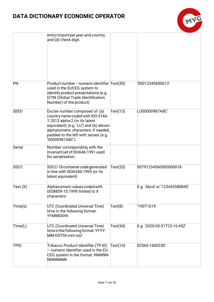

|             | entry/import per year and country,<br>and (d) check digit.                                                                                                                                                                                       |          |                               |
|-------------|--------------------------------------------------------------------------------------------------------------------------------------------------------------------------------------------------------------------------------------------------|----------|-------------------------------|
| <b>PN</b>   | Product number - numeric identifier Text(30)<br>used in the EUCEG system to<br>identify product presentations (e.g.<br><b>GTIN (Global Trade Identification</b><br>Number) of the product)                                                       |          | '00012345600012'              |
| <b>SEED</b> | Excise number composed of: (a)<br>country name coded with ISO-3166-<br>1:2013 alpha-2 (or its latest<br>equivalent) (e.g. 'LU') and (b) eleven<br>alphanumeric characters, if needed,<br>padded to the left with zeroes (e.g.<br>'00000987ABC'). | Text(13) | LU00000987ABC'                |
| Serial      | Number corresponding with the<br>invariant set of ISO646:1991 used<br>for serialisation                                                                                                                                                          |          |                               |
| <b>SSCC</b> | SSCC-18 container code generated<br>in line with ISO6346:1995 (or its<br>latest equivalent)                                                                                                                                                      | Text(20) | 00791234560000000018          |
| Text(X)     | Alphanumeric values coded with<br>ISO8859-15:1999 limited to X<br>characters                                                                                                                                                                     |          | E.g. 'Abcd' or '123455588845' |
| Time(s)     | <b>UTC (Coordinated Universal Time)</b><br>time in the following format:<br>YYMMDDhh                                                                                                                                                             | Text(8)  | '19071619'                    |
| Time(L)     | <b>UTC (Coordinated Universal Time)</b><br>time in the following format: YYYY-<br>MM-DDThh:mm:ssZ                                                                                                                                                | Text(34) | E.g. '2020-03-31T23:16:45Z'   |
| <b>TPID</b> | Tobacco Product Identifier (TP-ID)<br>- numeric identifier used in the EU-<br>CEG system in the format: NNNNN-<br><b>NNNNNNN</b>                                                                                                                 | Text(14) | 02565-1600230'                |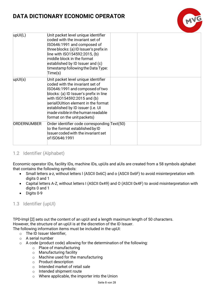| upUI(L)            | Unit packet level unique identifier<br>coded with the invariant set of<br>ISO646:1991 and composed of<br>three blocks: (a) ID Issuer's prefix in<br>line with ISO154592:2015, (b)<br>middle block in the format<br>established by ID Issuer and (c)<br>timestamp following the Data Type:<br>Time(s)                                |  |
|--------------------|-------------------------------------------------------------------------------------------------------------------------------------------------------------------------------------------------------------------------------------------------------------------------------------------------------------------------------------|--|
| upUI(s)            | Unit packet level unique identifier<br>coded with the invariant set of<br>ISO646:1991 and composed of two<br>blocks: (a) ID Issuer's prefix in line<br>with ISO154592:2015 and (b)<br>serialOUItion element in the format<br>established by ID issuer (i.e. UI<br>made visible in the human readable<br>format on the unit packets) |  |
| <b>ORDERNUMBER</b> | Order identifier code corresponding Text(50)<br>to the format established by ID<br>Issuer coded with the invariant set<br>of ISO646:1991                                                                                                                                                                                            |  |

### <span id="page-8-0"></span>1.2 Identifier (Alphabet)

Economic operator IDs, facility IDs, machine IDs, upUIs and aUIs are created from a 58 symbols alphabet that contains the following symbols:

- Small letters a-z, without letters l (ASCII 0x6C) and o (ASCII 0x6F) to avoid misinterpretation with digits 0 and 1
- Capital letters A-Z, without letters I (ASCII 0x49) and O (ASCII 0x4F) to avoid misinterpretation with digits 0 and 1
- Digits 0-9

### <span id="page-8-1"></span>1.3 Identifier (upUI)

TPD-Impl [2] sets out the content of an upUI and a length maximum length of 50 characters. However, the structure of an upUI is at the discretion of the ID Issuer.

The following information items must be included in the upUI:

- o The ID Issuer Identifier,
- o A serial number
- o A code (product code) allowing for the determination of the following:
	- o Place of manufacturing
	- o Manufacturing facility
	- o Machine used for the manufacturing
	- o Product description
	- o Intended market of retail sale
	- o Intended shipment route
	- o Where applicable, the importer into the Union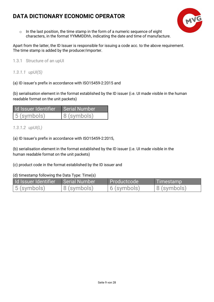

 $\circ$  In the last position, the time stamp in the form of a numeric sequence of eight characters, in the format YYMMDDhh, indicating the date and time of manufacture.

Apart from the latter, the ID Issuer is responsible for issuing a code acc. to the above requirement. The time stamp is added by the producer/importer.

<span id="page-9-0"></span>1.3.1 Structure of an upUI

*1.3.1.1 upUI(S)*

(a) ID issuer's prefix in accordance with ISO15459-2:2015 and

(b) serialisation element in the format established by the ID issuer (i.e. UI made visible in the human readable format on the unit packets)

| Id Issuer Identifier | Serial Number |
|----------------------|---------------|
| 5 (symbols)          | 8 (symbols)   |

*1.3.1.2 upUI(L)*

(a) ID Issuer's prefix in accordance with ISO15459-2:2015,

(b) serialisation element in the format established by the ID issuer (i.e. UI made visible in the human readable format on the unit packets)

(c) product code in the format established by the ID issuer and

(d) timestamp following the Data Type: Time(s)

| Id Issuer Identifier I Serial Number |                | Productcode    | Timestamp      |
|--------------------------------------|----------------|----------------|----------------|
| $\vert$ 5 (symbols)                  | $ 8$ (symbols) | $ 6$ (symbols) | $ 8$ (symbols) |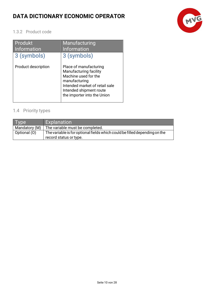

### <span id="page-10-0"></span>1.3.2 Product code

| Produkt<br><b>Information</b> | Manufacturing<br><b>Information</b>                                                                                                                                                   |
|-------------------------------|---------------------------------------------------------------------------------------------------------------------------------------------------------------------------------------|
| 3 (symbols)                   | 3 (symbols)                                                                                                                                                                           |
| Product description           | Place of manufacturing<br>Manufacturing facility<br>Machine used for the<br>manufacturing<br>Intended market of retail sale<br>Intended shipment route<br>the importer into the Union |

### <span id="page-10-1"></span>1.4 Priority types

| l lype!       | Explanation                                                                                          |
|---------------|------------------------------------------------------------------------------------------------------|
| Mandatory (M) | The variable must be completed.                                                                      |
| Optional (O)  | The variable is for optional fields which could be filled depending on the<br>record status or type. |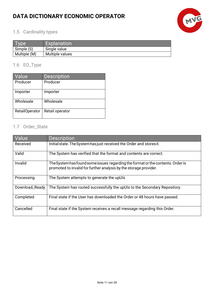

### <span id="page-11-0"></span>1.5 Cardinality types

| vpe          | <b>Explanation</b> |
|--------------|--------------------|
| Simple (S)   | Single value       |
| Multiple (M) | Multiple values    |

### <span id="page-11-1"></span>1.6 EO\_Type

| Value          | <b>Description</b> |
|----------------|--------------------|
| Producer       | Producer           |
| Importer       | Importer           |
| Wholesale      | Wholesale          |
| RetailOperator | Retail operator    |

### <span id="page-11-2"></span>1.7 Order\_State

| Value          | <b>Description</b>                                                                                                                                   |
|----------------|------------------------------------------------------------------------------------------------------------------------------------------------------|
| Received       | Initial state. The System has just received the Order and stores it.                                                                                 |
| Valid          | The System has verified that the format and contents are correct.                                                                                    |
| Invalid        | The System has found some issues regarding the format or the contents. Order is<br>promoted to invalid for further analysis by the storage provider. |
| Processing     | The System attempts to generate the upUIs                                                                                                            |
| Download_Ready | The System has routed successfully the upUIs to the Secondary Repository.                                                                            |
| Completed      | Final state if the User has downloaded the Order or 48 hours have passed.                                                                            |
| Cancelled      | Final state if the System receives a recall message regarding this Order.                                                                            |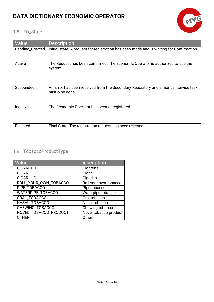

### <span id="page-12-0"></span>1.8 EO\_State

| Value           | <b>Description</b>                                                                                    |
|-----------------|-------------------------------------------------------------------------------------------------------|
| Pending_Created | Initial state. A request for registration has been made and is waiting for Confirmation               |
| Active          | The Request has been confirmed. The Economic Operator is authorized to use the<br>system              |
| Suspended       | An Error has been received from the Secondary Repository and a manual service task<br>hast o be done. |
| Inactive        | The Economic Operator has been deregistered                                                           |
| Rejected        | Final State. The registration request has been rejected.                                              |

### <span id="page-12-1"></span>1.9 TobaccoProductType

| Value                    | <b>Description</b>    |
|--------------------------|-----------------------|
| <b>CIGARETTE</b>         | Cigarette             |
| <b>CIGAR</b>             | Cigar                 |
| <b>CIGARILLO</b>         | Cigarillo             |
| ROLL_YOUR_OWN_TOBACCO    | Roll your own tobacco |
| PIPE_TOBACCO             | Pipe tobacco          |
| <b>WATERPIPE_TOBACCO</b> | Waterpipe tobacco     |
| ORAL_TOBACCO             | Oral tobacco          |
| NASAL_TOBACCO            | Nasal tobacco         |
| CHEWING_TOBACCO          | Chewing tobacco       |
| NOVEL_TOBACCO_PRODUCT    | Novel tobacco product |
| <b>OTHER</b>             | Other                 |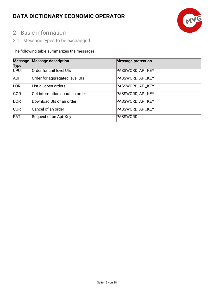

# <span id="page-13-0"></span>2 Basic information

<span id="page-13-1"></span>2.1 Message types to be exchanged

### The following table summarizes the messages.

| <b>Message</b><br><b>Type</b> | <b>Message description</b>     | <b>Message protection</b> |
|-------------------------------|--------------------------------|---------------------------|
| <b>UPUI</b>                   | Order for unit level UIs       | PASSWORD, API_KEY         |
| <b>AUI</b>                    | Order for aggregated level UIs | PASSWORD, API_KEY         |
| <b>LOR</b>                    | List all open orders           | PASSWORD, API_KEY         |
| <b>GOR</b>                    | Get information about an order | PASSWORD, API_KEY         |
| <b>DOR</b>                    | Download UIs of an order       | PASSWORD, API_KEY         |
| <b>COR</b>                    | Cancel of an order             | PASSWORD, API_KEY         |
| <b>RAT</b>                    | Request of an Api_Key          | <b>PASSWORD</b>           |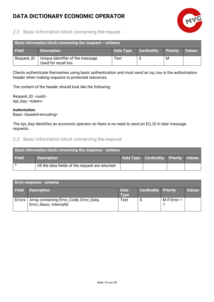

### <span id="page-14-0"></span>2.2 Basic information block concerning therequest

| Basic information block concerning the resquest $-$ schema |                                                           |           |                    |                 |               |  |
|------------------------------------------------------------|-----------------------------------------------------------|-----------|--------------------|-----------------|---------------|--|
| <b>Field</b>                                               | <b>Description</b>                                        | Data Type | <b>Cardinality</b> | <b>Priority</b> | <b>Values</b> |  |
| Request_ID                                                 | Unique identifier of the message.<br>Used for recall too. | Text      |                    | M               |               |  |

Clients authenticate themselves using basic authentication and must send an Api\_Key in the authorization header when making requests to protected resources.

The content of the header should look like the following:

Request\_ID: <uuid> Api\_Key: <token>

**Authorization:** Basic <br/>base64-encoding>

The Api\_Key identifies an economic operator so there is no need to send an EO\_ID in later message requests.

#### <span id="page-14-1"></span>2.3 Basic information block concerning therespone

| <b>Basic information block concerning the response - schema</b> |                                                 |  |                                              |  |  |
|-----------------------------------------------------------------|-------------------------------------------------|--|----------------------------------------------|--|--|
| <b>Field</b>                                                    | <b>Description</b>                              |  | <b>Data Type Cardinality Priority Values</b> |  |  |
|                                                                 | All the data fields of the request are returned |  |                                              |  |  |

| <b>Error response - schema</b> |                                                                     |                            |                             |                |               |
|--------------------------------|---------------------------------------------------------------------|----------------------------|-----------------------------|----------------|---------------|
| <b>Field</b>                   | <b>Description</b>                                                  | <b>Data</b><br><b>Type</b> | <b>Cardinality Priority</b> |                | <b>Values</b> |
| Errors                         | Array containing Error_Code, Error_Data,<br>Error_Descr, InternalId | Text                       |                             | M if $Error =$ |               |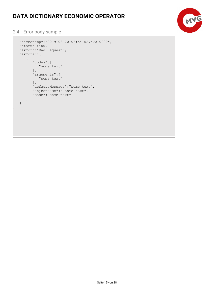

### <span id="page-15-0"></span>2.4 Error body sample

```
{
    "timestamp":"2019-08-20T08:54:02.500+0000",
\vert "status":400,
 "error":"Bad Request",
    "errors":[
       {
           "codes":[
              "some text"
         ],
           "arguments":[
              "some text"
          ],
          "defaultMessage":"some text",
           "objectName":" some text",
           "code":"some text"
       }
   \, ]
}
```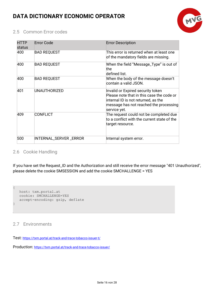

### <span id="page-16-0"></span>2.5 Common Error codes

| <b>HTTP</b><br>status | <b>Error Code</b>      | <b>Error Description</b>                                                                                                                                                        |
|-----------------------|------------------------|---------------------------------------------------------------------------------------------------------------------------------------------------------------------------------|
| 400                   | <b>BAD REQUEST</b>     | This error is returned when at least one<br>of the mandatory fields are missing.                                                                                                |
| 400                   | <b>BAD REQUEST</b>     | When the field "Message_Type" is out of<br>the<br>defined list.                                                                                                                 |
| 400                   | <b>BAD REQUEST</b>     | When the body of the message doesn't<br>contain a valid JSON.                                                                                                                   |
| 401                   | <b>UNAUTHORIZED</b>    | Invalid or Expired security token<br>Please note that in this case the code or<br>internal ID is not returned, as the<br>message has not reached the processing<br>service yet. |
| 409                   | <b>CONFLICT</b>        | The request could not be completed due<br>to a conflict with the current state of the<br>target resource.                                                                       |
| 500                   | INTERNAL_SERVER _ERROR | Internal system error.                                                                                                                                                          |

### <span id="page-16-1"></span>2.6 Cookie Handling

If you have set the Request\_ID and the Authorization and still receive the error message "401 Unauthorized", please delete the cookie SMSESSION and add the cookie SMCHALLENGE = YES

```
{
    host: txm.portal.at
    cookie: SMCHALLENGE=YES
    accept-encoding: gzip, deflate
}
```
### <span id="page-16-2"></span>2.7 Environments

Test:<https://txm.portal.at/track-and-trace-tobacco-issuer-t/>

Production:<https://txm.portal.at/track-and-trace-tobacco-issuer/>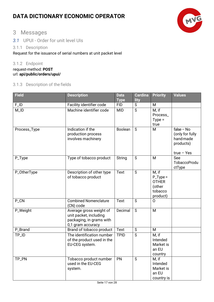

### <span id="page-17-0"></span>3 Messages

<span id="page-17-1"></span>*3.1* UPUI - Order for unit level UIs

### <span id="page-17-2"></span>3.1.1 Description

Request for the issuance of serial numbers at unit packet level

### <span id="page-17-3"></span>3.1.2 Endpoint

request-method: **POST** url: **api/public/orders/upui/**

### <span id="page-17-4"></span>3.1.3 Description of the fields

| <b>Field</b>       | <b>Description</b>                                                                                 | <b>Data</b><br><b>Type</b> | <b>Cardina</b><br>lity | <b>Priority</b>                                                      | <b>Values</b>                                                            |
|--------------------|----------------------------------------------------------------------------------------------------|----------------------------|------------------------|----------------------------------------------------------------------|--------------------------------------------------------------------------|
| $F_lD$             | Facility identifier code                                                                           | <b>FID</b>                 | $\mathsf{S}$           | M                                                                    |                                                                          |
| $M$ <sub>-ID</sub> | Machine identifier code                                                                            | <b>MID</b>                 | S                      | M, if<br>Process_<br>$Type =$<br>true                                |                                                                          |
| Process_Type       | Indication if the<br>production process<br>involves machinery                                      | Boolean                    | S                      | M                                                                    | $false - No$<br>(only for fully<br>handmade<br>products)<br>$true - Yes$ |
| P_Type             | Type of tobacco product                                                                            | <b>String</b>              | $\mathsf{S}$           | M                                                                    | See<br><b>TobaccoProdu</b><br>ctType                                     |
| P_OtherType        | Description of other type<br>of tobacco product                                                    | <b>Text</b>                | S                      | M, if<br>$P_Type =$<br><b>OTHER</b><br>(other<br>tobacco<br>product) |                                                                          |
| P_CN               | <b>Combined Nomenclature</b><br>(CN) code                                                          | <b>Text</b>                | S                      | $\Omega$                                                             |                                                                          |
| P_Weight           | Average gross weight of<br>unit packet, including<br>packaging, in grams with<br>0,1 gram accuracy | Decimal                    | $\mathsf{S}$           | M                                                                    |                                                                          |
| P_Brand            | Brand of tobacco product                                                                           | Text                       | S                      | M                                                                    |                                                                          |
| TP_ID              | The identification number<br>of the product used in the<br>EU-CEG system.                          | <b>TPID</b>                | S                      | M, if<br>Intended<br>Market is<br>an EU<br>country                   |                                                                          |
| TP_PN              | Tobacco product number<br>used in the EU-CEG<br>system.                                            | PN                         | $\mathsf{S}$           | M, if<br>Intended<br>Market is<br>an EU<br>country is                |                                                                          |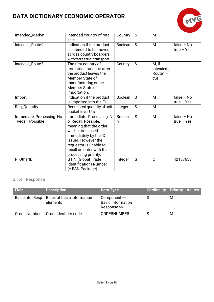

| Intended_Market<br>Intended country of retail<br>sale. |                                                                                                                                                                                                                            | Country            | S              | M                                        |                              |
|--------------------------------------------------------|----------------------------------------------------------------------------------------------------------------------------------------------------------------------------------------------------------------------------|--------------------|----------------|------------------------------------------|------------------------------|
| Intended_Route1                                        | Indication if the product<br>is intended to be moved<br>across country boarders<br>with terrestrial transport.                                                                                                             | Boolean            | S              | M                                        | $false - No$<br>$true - Yes$ |
| Intended_Route2                                        | The first country of<br>terrestrial transport after<br>the product leaves the<br>Member State of<br>manufacturing or the<br>Member State of<br>importation.                                                                | Country            | S              | M, if<br>Intended_<br>$Route1 =$<br>true |                              |
| Import                                                 | Indication if the product<br>is imported into the EU                                                                                                                                                                       | <b>Boolean</b>     | S              | M                                        | $false - No$<br>$true - Yes$ |
| Req_Quantity                                           | Requested quantity of unit<br>packet level UIs                                                                                                                                                                             | Integer            | $\overline{S}$ | M                                        |                              |
| Immediate_Processing_No<br><b>Recall Possible</b>      | Immediate_Processing_N<br>o_Recall_Possible,<br>meaning that the order<br>will be processed<br>immediately by the ID<br>Issuer. However the<br>requestor is unable to<br>recall an order with this<br>processing priority. | <b>Boolea</b><br>n | $\overline{S}$ | M                                        | $false - No$<br>$true - Yes$ |
| P_OtherID                                              | <b>GTIN (Global Trade</b><br>Identification) Number<br>(= EAN Package)                                                                                                                                                     | Integer            | S              | $\overline{O}$                           | 42137658                     |

### <span id="page-18-0"></span>3.1.4 Response

| <b>Field</b>   | <b>Description</b>                            | Data Type                                               | <b>Cardinality Priority Values</b> |   |  |
|----------------|-----------------------------------------------|---------------------------------------------------------|------------------------------------|---|--|
| BasicInfo_Resp | <b>Block of basic information</b><br>elements | Component <<<br><b>Basic Information</b><br>Response >> |                                    | M |  |
| Order_Number   | Order identifier code                         | <b>ORDERNUMBER</b>                                      |                                    | M |  |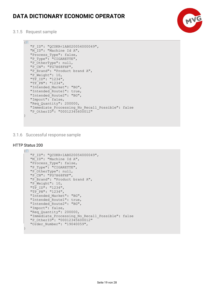

<span id="page-19-0"></span>3.1.5 Request sample

```
F = "F_ID": "QCUKR<1AB020054000049",
   "M<sup>TD</sup>": "Machine Id A",
    "Process_Type": false,
   "P_Type": "CIGARETTE",
    "P_OtherType": null,
   "P<sup>CN"</sup>: "FG7H68FHF",
    "P_Brand": "Product brand A",
    "P_Weight": 10,
 "TP_ID": "1234",
 "TP_PN": "1234",
    "Intended_Market": "BG",
   "Intended_Route1": true,
   "Intended_Route2": "BG",
   "Import": false,
   "Req_Quantity": 200000,
   "Immediate Processing No Recall Possible": false
   "P_OtherID": "00012345600012"
```
<span id="page-19-1"></span>3.1.6 Successful response sample

#### HTTP Status 200

}

```
\Xi "F_ID": "QCUKR<1AB020054000049",
  "M ID": "Machine Id A",
 "Process_Type": false,
 "P_Type": "CIGARETTE",
  "P_OtherType": null,
  "P<sup>CN":</sup> "FG7H68FHF",
   "P_Brand": "Product brand A",
   "P_Weight": 10,
 "TP_ID": "1234",
 "TP_PN": "1234",
   "Intended_Market": "BG",
   "Intended_Route1": true,
   "Intended_Route2": "BG",
   "Import": false,
  "Req Quantity": 200000,
  "Immediate Processing No Recall Possible": false
  "P_OtherID": "00012345600012"
   "Order_Number": "19040059",
}
```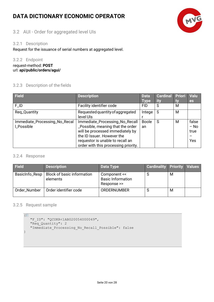### <span id="page-20-0"></span>3.2 AUI - Order for aggregated level UIs

#### <span id="page-20-1"></span>3.2.1 Description

Request for the issuance of serial numbers at aggregated level.

#### <span id="page-20-2"></span>3.2.2 Endpoint

request-method: **POST** url: **api/public/orders/agui/**

#### <span id="page-20-3"></span>3.2.3 Description of the fields

| Field                         | <b>Description</b>                   | <b>Data</b>  | <b>Cardinal</b><br>ity | <b>Priori</b><br>tv | <b>Valu</b> |
|-------------------------------|--------------------------------------|--------------|------------------------|---------------------|-------------|
|                               |                                      | <b>Type</b>  |                        |                     | <b>es</b>   |
| $F_lD$                        | Facility identifier code             | <b>FID</b>   | S                      | M                   |             |
| Req_Quantity                  | Requested quantity of aggregated     | Intege       | S                      | M                   |             |
|                               | level UIs                            |              |                        |                     |             |
| Immediate_Processing_No_Recal | Immediate_Processing_No_Recall       | <b>Boole</b> | S                      | M                   | false       |
| LPossible                     | _Possible, meaning that the order    | an           |                        |                     | $-$ No      |
|                               | will be processed immediately by     |              |                        |                     | true        |
|                               | the ID Issuer. However the           |              |                        |                     |             |
|                               | requestor is unable to recall an     |              |                        |                     | Yes         |
|                               | order with this processing priority. |              |                        |                     |             |

#### <span id="page-20-4"></span>3.2.4 Response

| <b>Field</b>   | <b>Description</b>                     | Data Type                                               | <b>Cardinality Priority Values</b> |   |  |
|----------------|----------------------------------------|---------------------------------------------------------|------------------------------------|---|--|
| BasicInfo_Resp | Block of basic information<br>elements | Component <<<br><b>Basic Information</b><br>Response >> | O                                  | M |  |
| Order_Number   | Order identifier code                  | <b>ORDERNUMBER</b>                                      | O                                  | М |  |

#### <span id="page-20-5"></span>3.2.5 Request sample

```
\overline{E} "F_ID": "QCUKR<1AB020054000049",
   "Req Quantity": 2
   "Immediate Processing No Recall Possible": false
}
```
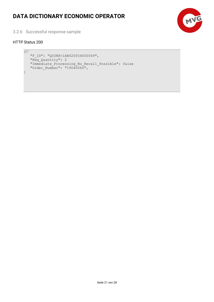

<span id="page-21-0"></span>3.2.6 Successful response sample

#### HTTP Status 200

```
\overline{E} "F_ID": "QCUKR<1AB020054000049",
    "Req_Quantity": 2
    "Immediate_Processing_No_Recall_Possible": false
   "Order Number": "19040060",
}
```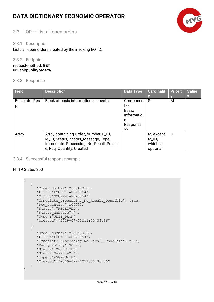

### <span id="page-22-0"></span>3.3 LOR – List all open orders

#### <span id="page-22-1"></span>3.3.1 Description

Lists all open orders created by the invoking EO\_ID.

#### <span id="page-22-2"></span>3.3.2 Endpoint

request-method: **GET** url: **api/public/orders/**

#### <span id="page-22-3"></span>3.3.3 Response

| <b>Field</b>       | <b>Description</b>                                                                                                                                | <b>Data Type</b>                                                    | <b>Cardinalit</b>                          | <b>Priorit</b> | <b>Value</b><br><b>S</b> |
|--------------------|---------------------------------------------------------------------------------------------------------------------------------------------------|---------------------------------------------------------------------|--------------------------------------------|----------------|--------------------------|
| BasicInfo_Res<br>p | Block of basic information elements                                                                                                               | Componen<br>t <<br><b>Basic</b><br>Informatio<br>n<br>Response<br>> | S                                          | M              |                          |
| Array              | Array containing Order_Number, F_ID,<br>M_ID, Status, Status_Message, Type,<br>Immediate_Processing_No_Recall_Possibl<br>e, Req_Quantity, Created |                                                                     | M, except<br>M_ID,<br>which is<br>optional | 0              |                          |

#### <span id="page-22-4"></span>3.3.4 Successful response sample

#### HTTP Status 200

 $\overline{ }$ 

]

```
 {
    "Order_Number":"19040061",
  "F_ID":"FCUKR+1AB020054",
   \overline{''}ID":"MCUKR+1AB020054",
   "Immediate Processing No Recall Possible": true,
    "Req_Quantity":100000,
    "Status":"RECEIVED",
    "Status_Message":"",
   "Type": "UNIT_PACK",
    "Created":"2019-07-22T11:00:36.36"
 },
 {
    "Order_Number":"19040062",
   "F_ID":"FCUKR+1AB020054",
   "Immediate Processing No Recall Possible": true,
    "Req_Quantity":90000,
    "Status":"RECEIVED",
    "Status_Message":"",
    "Type":"AGGREGATE",
    "Created":"2019-07-21T11:00:36.36"
 }
```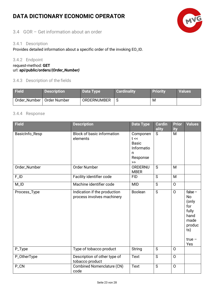### <span id="page-23-0"></span>3.4 GOR – Get information about an order

### <span id="page-23-1"></span>3.4.1 Description

Provides detailed information about a specific order of the invoking EO\_ID.

#### <span id="page-23-2"></span>3.4.2 Endpoint

request-method: **GET** url: **api/public/orders/***{Order\_Number}*

#### <span id="page-23-3"></span>3.4.3 Description of the fields

| Field                       | <b>Description</b> | Data Type          | <b>Cardinality</b> | <b>Priority</b> | <b>Values</b> |
|-----------------------------|--------------------|--------------------|--------------------|-----------------|---------------|
| Order_Number   Order Number |                    | <b>ORDERNUMBER</b> |                    | м               |               |

#### <span id="page-23-4"></span>3.4.4 Response

| Field             | <b>Description</b>                                         | <b>Data Type</b>                                                     | <b>Cardin</b><br>ality | <b>Prior</b><br>ity | Values                                                                                              |
|-------------------|------------------------------------------------------------|----------------------------------------------------------------------|------------------------|---------------------|-----------------------------------------------------------------------------------------------------|
| BasicInfo_Resp    | <b>Block of basic information</b><br>elements              | Componen<br>t <<br><b>Basic</b><br>Informatio<br>n<br>Response<br>>> | S                      | M                   |                                                                                                     |
| Order_Number      | <b>Order Number</b>                                        | ORDERNU<br><b>MBER</b>                                               | S                      | M                   |                                                                                                     |
| $F_lD$            | Facility identifier code                                   | <b>FID</b>                                                           | S                      | M                   |                                                                                                     |
| $M$ <sup>ID</sup> | Machine identifier code                                    | <b>MID</b>                                                           | S                      | $\mathsf{O}$        |                                                                                                     |
| Process_Type      | Indication if the production<br>process involves machinery | Boolean                                                              | S                      | $\Omega$            | false $-$<br><b>No</b><br>(only<br>for<br>fully<br>hand<br>made<br>produc<br>ts)<br>$true -$<br>Yes |
| P_Type            | Type of tobacco product                                    | <b>String</b>                                                        | S                      | $\overline{O}$      |                                                                                                     |
| P_OtherType       | Description of other type of<br>tobacco product            | <b>Text</b>                                                          | S                      | $\mathsf{O}$        |                                                                                                     |
| P_CN              | <b>Combined Nomenclature (CN)</b><br>code                  | <b>Text</b>                                                          | S                      | $\circ$             |                                                                                                     |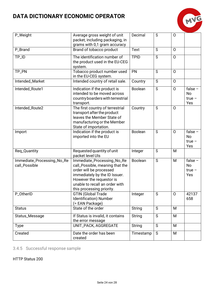

| P_Weight                                    | Average gross weight of unit<br>packet, including packaging, in<br>grams with 0,1 gram accuracy                                                                                                                      | Decimal       | S            | $\overline{O}$ |                                           |
|---------------------------------------------|----------------------------------------------------------------------------------------------------------------------------------------------------------------------------------------------------------------------|---------------|--------------|----------------|-------------------------------------------|
| P_Brand                                     | Brand of tobacco product                                                                                                                                                                                             | Text          | $\mathsf{S}$ | $\mathsf{O}$   |                                           |
| TP_ID                                       | The identification number of<br>the product used in the EU-CEG<br>system.                                                                                                                                            | <b>TPID</b>   | S            | $\mathsf{O}$   |                                           |
| TP_PN                                       | Tobacco product number used<br>in the EU-CEG system.                                                                                                                                                                 | PN            | S            | $\mathsf{O}$   |                                           |
| Intended_Market                             | Intended country of retail sale.                                                                                                                                                                                     | Country       | S            | $\mathsf{O}$   |                                           |
| Intended_Route1                             | Indication if the product is<br>intended to be moved across<br>country boarders with terrestrial<br>transport.                                                                                                       | Boolean       | S            | $\mathsf{O}$   | false $-$<br><b>No</b><br>$true -$<br>Yes |
| Intended_Route2                             | The first country of terrestrial<br>transport after the product<br>leaves the Member State of<br>manufacturing or the Member<br>State of importation.                                                                | Country       | $\mathsf{S}$ | $\Omega$       |                                           |
| Import                                      | Indication if the product is<br>imported into the EU                                                                                                                                                                 | Boolean       | S            | $\mathsf{O}$   | false $-$<br><b>No</b><br>$true -$<br>Yes |
| Req_Quantity                                | Requested quantity of unit<br>packet level UIs                                                                                                                                                                       | Integer       | S            | M              |                                           |
| Immediate_Processing_No_Re<br>call_Possible | Immediate_Processing_No_Re<br>call_Possible, meaning that the<br>order will be processed<br>immediately by the ID Issuer.<br>However the requestor is<br>unable to recall an order with<br>this processing priority. | Boolean       | S            | M              | false $-$<br>No<br>$true -$<br>Yes        |
| P_OtherID                                   | GTIN (Global Trade<br>Identification) Number<br>(= EAN Package)                                                                                                                                                      | Integer       | S            | 0              | 42137<br>658                              |
| <b>Status</b>                               | State of the order                                                                                                                                                                                                   | String        | S            | M              |                                           |
| Status_Message                              | If Status is invalid, it contains<br>the error message                                                                                                                                                               | <b>String</b> | S            | М              |                                           |
| <b>Type</b>                                 | <b>UNIT_PACK, AGGREGATE</b>                                                                                                                                                                                          | String        | S            | M              |                                           |
| Created                                     | Date the order has been<br>created                                                                                                                                                                                   | Timestamp     | S            | M              |                                           |

### <span id="page-24-0"></span>3.4.5 Successful response sample

HTTP Status 200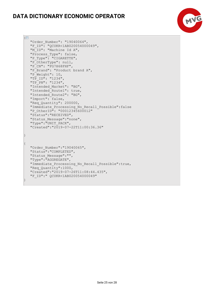

```
{E}"Order Number": "19040064",
  "F_ID": "QCUKR<1AB020054000049",
  "M<sup>T</sup>ID": "Machine Id A",
 "Process_Type": false,
 "P_Type": "CIGARETTE",
   "P_OtherType": null,
   "P<sup>CN":</sup> "FG7H68FHF",
 "P_Brand": "Product brand A",
 "P_Weight": 10,
    "TP_ID": "1234",
   "TP<sup>-PN"</sup>: "1234",
    "Intended_Market": "BG",
    "Intended_Route1": true,
    "Intended_Route2": "BG",
    "Import": false,
   "Req Quantity": 200000,
    "Immediate_Processing_No_Recall_Possible":false
   "P_OtherID": "00012345600012"
    "Status":"RECEIVED",
    "Status_Message":"none",
   "Type": "UNIT_PACK",
    "Created":"2019-07-22T11:00:36.36"
}
{
    "Order_Number":"19040065",
    "Status":"COMPLETED",
    "Status_Message":"",
    "Type":"AGGREGATE",
    "Immediate_Processing_No_Recall_Possible":true,
   "Req Quantity":1000,
    "Created":"2019-07-26T11:08:44.435",
    "F_ID":" QCUKR<1AB020054000049"
```
}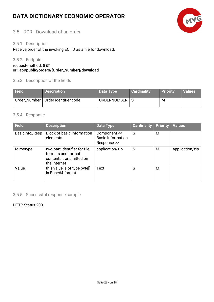

### <span id="page-26-0"></span>3.5 DOR - Download of an order

#### <span id="page-26-1"></span>3.5.1 Description

Receive order of the invoking EO\_ID as a file for download.

#### <span id="page-26-2"></span>3.5.2 Endpoint

request-method: **GET**

#### url: **api/public/orders/{Order\_Number}/download**

### <span id="page-26-3"></span>3.5.3 Description of the fields

| <b>Field</b> | <b>Description</b>                   | Data Type       | <b>Cardinality</b> | Priority | <b>Values</b> |
|--------------|--------------------------------------|-----------------|--------------------|----------|---------------|
|              | Order_Number   Order identifier code | ORDERNUMBER   S |                    | M        |               |

#### <span id="page-26-4"></span>3.5.4 Response

| <b>Field</b>   | <b>Description</b>                                                                            | <b>Data Type</b>                                        | <b>Cardinality</b> | <b>Priority</b> | <b>Values</b>   |
|----------------|-----------------------------------------------------------------------------------------------|---------------------------------------------------------|--------------------|-----------------|-----------------|
| BasicInfo_Resp | Block of basic information<br>elements                                                        | Component <<<br><b>Basic Information</b><br>Response >> | S                  | м               |                 |
| Mimetype       | two-part identifier for file<br>formats and format<br>contents transmitted on<br>the Internet | application/zip                                         | S                  | M               | application/zip |
| Value          | this value is of type byte[]<br>in Base64 format.                                             | Text                                                    | S                  | м               |                 |

#### <span id="page-26-5"></span>3.5.5 Successful response sample

HTTP Status 200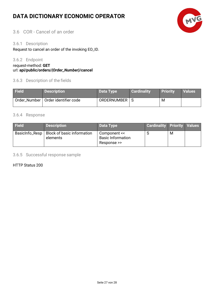

### <span id="page-27-0"></span>3.6 COR - Cancel of an order

#### <span id="page-27-1"></span>3.6.1 Description

Request to cancel an order of the invoking EO\_ID.

#### <span id="page-27-2"></span>3.6.2 Endpoint

request-method: **GET**

#### url: **api/public/orders/***{Order\_Number}***/cancel**

#### <span id="page-27-3"></span>3.6.3 Description of the fields

| <b>Field</b> | <b>Description</b>                   | Data Type       | <b>Cardinality</b> | <b>Priority</b> | <b>Values</b> |
|--------------|--------------------------------------|-----------------|--------------------|-----------------|---------------|
|              | Order_Number   Order identifier code | ORDERNUMBER   S |                    | м               |               |

#### <span id="page-27-4"></span>3.6.4 Response

| <b>Field</b> | <b>Description</b>                                      | Data Type                                               | <b>Cardinality Priority Values</b> |   |  |
|--------------|---------------------------------------------------------|---------------------------------------------------------|------------------------------------|---|--|
|              | BasicInfo_Resp   Block of basic information<br>elements | Component <<<br><b>Basic Information</b><br>Response >> |                                    | M |  |

<span id="page-27-5"></span>3.6.5 Successful response sample

#### HTTP Status 200